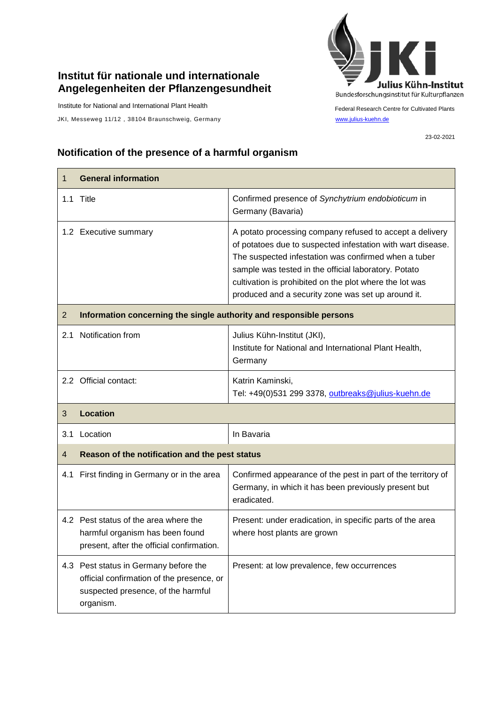## **Institut für nationale und internationale Angelegenheiten der Pflanzengesundheit**

Institute for National and International Plant Health

JKI, Messeweg 11/12, 38104 Braunschweig, Germany [www.julius-kuehn.de](http://www.julius-kuehn.de/)



Federal Research Centre for Cultivated Plants

23-02-2021

## **Notification of the presence of a harmful organism**

| 1              | <b>General information</b>                                                                                                            |                                                                                                                                                                                                                                                                                                                                                          |  |
|----------------|---------------------------------------------------------------------------------------------------------------------------------------|----------------------------------------------------------------------------------------------------------------------------------------------------------------------------------------------------------------------------------------------------------------------------------------------------------------------------------------------------------|--|
|                | 1.1 Title                                                                                                                             | Confirmed presence of Synchytrium endobioticum in<br>Germany (Bavaria)                                                                                                                                                                                                                                                                                   |  |
|                | 1.2 Executive summary                                                                                                                 | A potato processing company refused to accept a delivery<br>of potatoes due to suspected infestation with wart disease.<br>The suspected infestation was confirmed when a tuber<br>sample was tested in the official laboratory. Potato<br>cultivation is prohibited on the plot where the lot was<br>produced and a security zone was set up around it. |  |
| $\overline{2}$ | Information concerning the single authority and responsible persons                                                                   |                                                                                                                                                                                                                                                                                                                                                          |  |
| 2.1            | Notification from                                                                                                                     | Julius Kühn-Institut (JKI),<br>Institute for National and International Plant Health,<br>Germany                                                                                                                                                                                                                                                         |  |
|                | 2.2 Official contact:                                                                                                                 | Katrin Kaminski,<br>Tel: +49(0)531 299 3378, outbreaks@julius-kuehn.de                                                                                                                                                                                                                                                                                   |  |
| 3              | <b>Location</b>                                                                                                                       |                                                                                                                                                                                                                                                                                                                                                          |  |
| 3.1            | Location                                                                                                                              | In Bavaria                                                                                                                                                                                                                                                                                                                                               |  |
| $\overline{4}$ | Reason of the notification and the pest status                                                                                        |                                                                                                                                                                                                                                                                                                                                                          |  |
|                | 4.1 First finding in Germany or in the area                                                                                           | Confirmed appearance of the pest in part of the territory of<br>Germany, in which it has been previously present but<br>eradicated.                                                                                                                                                                                                                      |  |
|                | 4.2 Pest status of the area where the<br>harmful organism has been found<br>present, after the official confirmation.                 | Present: under eradication, in specific parts of the area<br>where host plants are grown                                                                                                                                                                                                                                                                 |  |
|                | 4.3 Pest status in Germany before the<br>official confirmation of the presence, or<br>suspected presence, of the harmful<br>organism. | Present: at low prevalence, few occurrences                                                                                                                                                                                                                                                                                                              |  |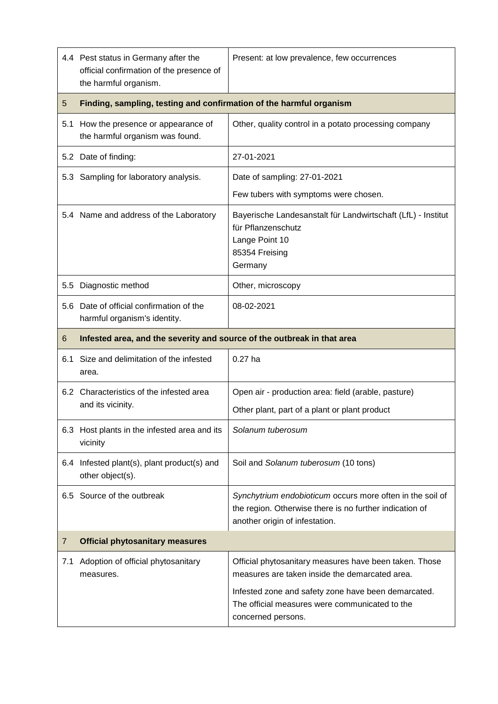|     | 4.4 Pest status in Germany after the<br>official confirmation of the presence of<br>the harmful organism. | Present: at low prevalence, few occurrences                                                                                                            |  |
|-----|-----------------------------------------------------------------------------------------------------------|--------------------------------------------------------------------------------------------------------------------------------------------------------|--|
| 5   | Finding, sampling, testing and confirmation of the harmful organism                                       |                                                                                                                                                        |  |
|     | 5.1 How the presence or appearance of<br>the harmful organism was found.                                  | Other, quality control in a potato processing company                                                                                                  |  |
|     | 5.2 Date of finding:                                                                                      | 27-01-2021                                                                                                                                             |  |
|     | 5.3 Sampling for laboratory analysis.                                                                     | Date of sampling: 27-01-2021<br>Few tubers with symptoms were chosen.                                                                                  |  |
|     | 5.4 Name and address of the Laboratory                                                                    | Bayerische Landesanstalt für Landwirtschaft (LfL) - Institut<br>für Pflanzenschutz<br>Lange Point 10<br>85354 Freising<br>Germany                      |  |
| 5.5 | Diagnostic method                                                                                         | Other, microscopy                                                                                                                                      |  |
|     | 5.6 Date of official confirmation of the<br>harmful organism's identity.                                  | 08-02-2021                                                                                                                                             |  |
| 6   | Infested area, and the severity and source of the outbreak in that area                                   |                                                                                                                                                        |  |
| 6.1 | Size and delimitation of the infested<br>area.                                                            | $0.27$ ha                                                                                                                                              |  |
|     | 6.2 Characteristics of the infested area<br>and its vicinity.                                             | Open air - production area: field (arable, pasture)                                                                                                    |  |
|     |                                                                                                           | Other plant, part of a plant or plant product                                                                                                          |  |
|     | 6.3 Host plants in the infested area and its<br>vicinity                                                  | Solanum tuberosum                                                                                                                                      |  |
|     | 6.4 Infested plant(s), plant product(s) and<br>other object(s).                                           | Soil and Solanum tuberosum (10 tons)                                                                                                                   |  |
|     | 6.5 Source of the outbreak                                                                                | Synchytrium endobioticum occurs more often in the soil of<br>the region. Otherwise there is no further indication of<br>another origin of infestation. |  |
| 7   | <b>Official phytosanitary measures</b>                                                                    |                                                                                                                                                        |  |
| 7.1 | Adoption of official phytosanitary<br>measures.                                                           | Official phytosanitary measures have been taken. Those<br>measures are taken inside the demarcated area.                                               |  |
|     |                                                                                                           | Infested zone and safety zone have been demarcated.<br>The official measures were communicated to the<br>concerned persons.                            |  |